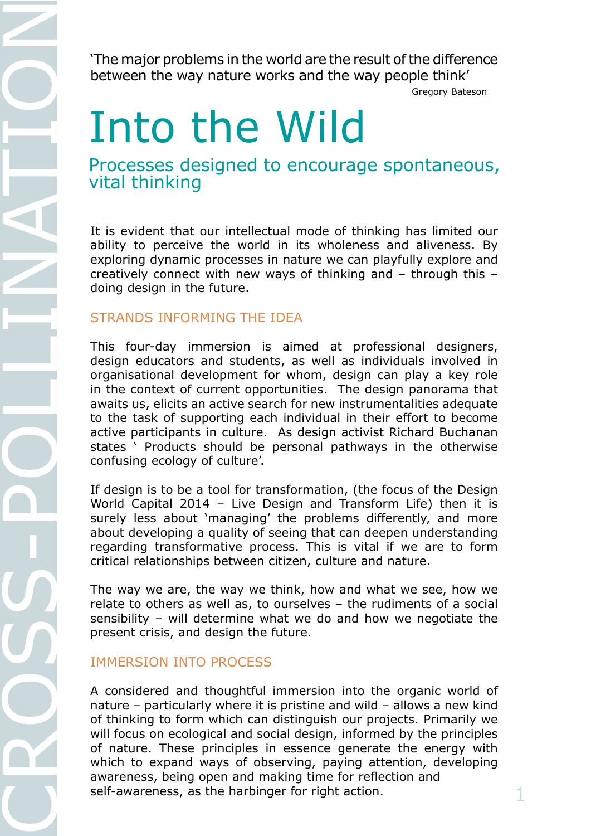between the way nature works and the way people think'

**!!!!!!!!!** Gregory/Bateson

# Into the Wild

Processes designed to encourage spontaneous, vital thinking

It is evident that our intellectual mode of thinking has limited our ability to perceive the world in its wholeness and aliveness. By exploring dynamic processes in nature we can playfully explore and creatively connect with new ways of thinking and – through this – doing design in the future.

### STRANDS INFORMING THE IDEA

The major problems in the world are the result of the difference<br>between the way nature works and the way people think-<br> $\blacksquare$ <br>Processes designed to encourage spontaneous,<br>vital thinking<br>the simulation of the major matter This four-day immersion is aimed at professional designers, design educators and students, as well as individuals involved in organisational development for whom, design can play a key role in the context of current opportunities. The design panorama that awaits us, elicits an active search for new instrumentalities adequate to the task of supporting each individual in their effort to become active participants in culture. As design activist Richard Buchanan states ' Products should be personal pathways in the otherwise confusing ecology of culture'.

If design is to be a tool for transformation, (the focus of the Design World Capital 2014 – Live Design and Transform Life) then it is surely less about 'managing' the problems differently, and more about developing a quality of seeing that can deepen understanding regarding transformative process. This is vital if we are to form critical relationships between citizen, culture and nature.

The way we are, the way we think, how and what we see, how we relate to others as well as, to ourselves – the rudiments of a social sensibility – will determine what we do and how we negotiate the present crisis, and design the future.

### IMMERSION INTO PROCESS

A considered and thoughtful immersion into the organic world of nature – particularly where it is pristine and wild – allows a new kind of thinking to form which can distinguish our projects. Primarily we will focus on ecological and social design, informed by the principles of nature. These principles in essence generate the energy with which to expand ways of observing, paying attention, developing awareness, being open and making time for reflection and self-awareness, as the harbinger for right action.  $1$